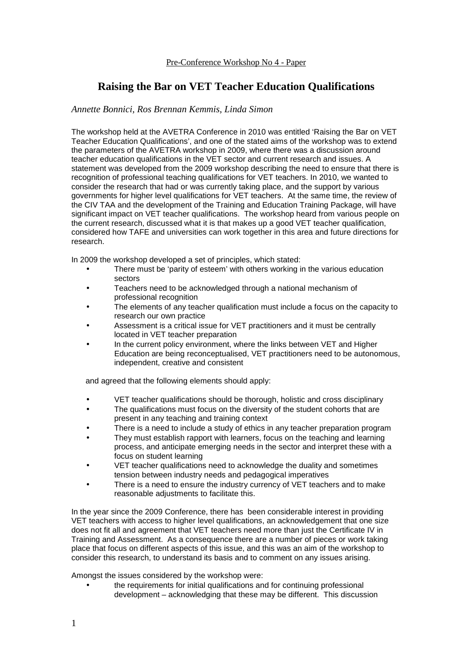## **Raising the Bar on VET Teacher Education Qualifications**

## *Annette Bonnici, Ros Brennan Kemmis, Linda Simon*

The workshop held at the AVETRA Conference in 2010 was entitled 'Raising the Bar on VET Teacher Education Qualifications', and one of the stated aims of the workshop was to extend the parameters of the AVETRA workshop in 2009, where there was a discussion around teacher education qualifications in the VET sector and current research and issues. A statement was developed from the 2009 workshop describing the need to ensure that there is recognition of professional teaching qualifications for VET teachers. In 2010, we wanted to consider the research that had or was currently taking place, and the support by various governments for higher level qualifications for VET teachers. At the same time, the review of the CIV TAA and the development of the Training and Education Training Package, will have significant impact on VET teacher qualifications. The workshop heard from various people on the current research, discussed what it is that makes up a good VET teacher qualification, considered how TAFE and universities can work together in this area and future directions for research.

In 2009 the workshop developed a set of principles, which stated:

- There must be 'parity of esteem' with others working in the various education sectors
- Teachers need to be acknowledged through a national mechanism of professional recognition
- The elements of any teacher qualification must include a focus on the capacity to research our own practice
- Assessment is a critical issue for VET practitioners and it must be centrally located in VET teacher preparation
- In the current policy environment, where the links between VET and Higher Education are being reconceptualised, VET practitioners need to be autonomous, independent, creative and consistent

and agreed that the following elements should apply:

- VET teacher qualifications should be thorough, holistic and cross disciplinary
- The qualifications must focus on the diversity of the student cohorts that are present in any teaching and training context
- There is a need to include a study of ethics in any teacher preparation program
- They must establish rapport with learners, focus on the teaching and learning process, and anticipate emerging needs in the sector and interpret these with a focus on student learning
- VET teacher qualifications need to acknowledge the duality and sometimes tension between industry needs and pedagogical imperatives
- There is a need to ensure the industry currency of VET teachers and to make reasonable adjustments to facilitate this.

In the year since the 2009 Conference, there has been considerable interest in providing VET teachers with access to higher level qualifications, an acknowledgement that one size does not fit all and agreement that VET teachers need more than just the Certificate IV in Training and Assessment. As a consequence there are a number of pieces or work taking place that focus on different aspects of this issue, and this was an aim of the workshop to consider this research, to understand its basis and to comment on any issues arising.

Amongst the issues considered by the workshop were:

• the requirements for initial qualifications and for continuing professional development – acknowledging that these may be different. This discussion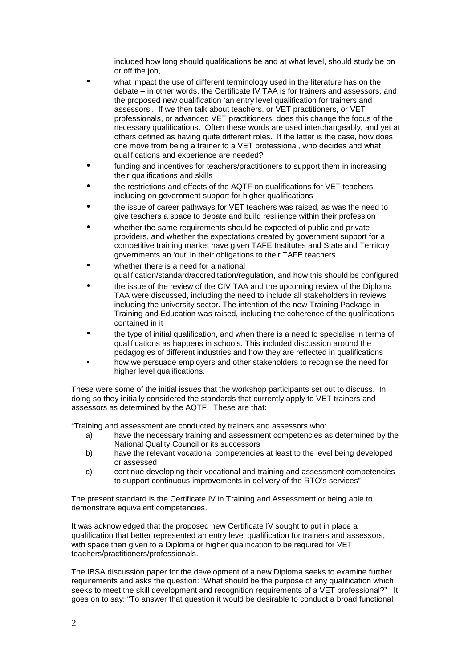included how long should qualifications be and at what level, should study be on or off the job,

- what impact the use of different terminology used in the literature has on the debate – in other words, the Certificate IV TAA is for trainers and assessors, and the proposed new qualification 'an entry level qualification for trainers and assessors'. If we then talk about teachers, or VET practitioners, or VET professionals, or advanced VET practitioners, does this change the focus of the necessary qualifications. Often these words are used interchangeably, and yet at others defined as having quite different roles. If the latter is the case, how does one move from being a trainer to a VET professional, who decides and what qualifications and experience are needed?
- funding and incentives for teachers/practitioners to support them in increasing their qualifications and skills
- the restrictions and effects of the AQTF on qualifications for VET teachers, including on government support for higher qualifications
- the issue of career pathways for VET teachers was raised, as was the need to give teachers a space to debate and build resilience within their profession
- whether the same requirements should be expected of public and private providers, and whether the expectations created by government support for a competitive training market have given TAFE Institutes and State and Territory governments an 'out' in their obligations to their TAFE teachers
- whether there is a need for a national qualification/standard/accreditation/regulation, and how this should be configured
- the issue of the review of the CIV TAA and the upcoming review of the Diploma TAA were discussed, including the need to include all stakeholders in reviews including the university sector. The intention of the new Training Package in Training and Education was raised, including the coherence of the qualifications contained in it
- the type of initial qualification, and when there is a need to specialise in terms of qualifications as happens in schools. This included discussion around the pedagogies of different industries and how they are reflected in qualifications
- how we persuade employers and other stakeholders to recognise the need for higher level qualifications.

These were some of the initial issues that the workshop participants set out to discuss. In doing so they initially considered the standards that currently apply to VET trainers and assessors as determined by the AQTF. These are that:

"Training and assessment are conducted by trainers and assessors who:

- a) have the necessary training and assessment competencies as determined by the National Quality Council or its successors
- b) have the relevant vocational competencies at least to the level being developed or assessed
- c) continue developing their vocational and training and assessment competencies to support continuous improvements in delivery of the RTO's services"

The present standard is the Certificate IV in Training and Assessment or being able to demonstrate equivalent competencies.

It was acknowledged that the proposed new Certificate IV sought to put in place a qualification that better represented an entry level qualification for trainers and assessors, with space then given to a Diploma or higher qualification to be required for VET teachers/practitioners/professionals.

The IBSA discussion paper for the development of a new Diploma seeks to examine further requirements and asks the question: "What should be the purpose of any qualification which seeks to meet the skill development and recognition requirements of a VET professional?" It goes on to say: "To answer that question it would be desirable to conduct a broad functional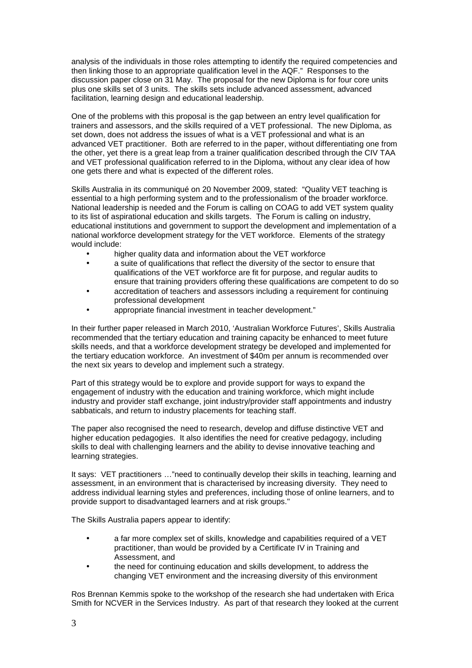analysis of the individuals in those roles attempting to identify the required competencies and then linking those to an appropriate qualification level in the AQF." Responses to the discussion paper close on 31 May. The proposal for the new Diploma is for four core units plus one skills set of 3 units. The skills sets include advanced assessment, advanced facilitation, learning design and educational leadership.

One of the problems with this proposal is the gap between an entry level qualification for trainers and assessors, and the skills required of a VET professional. The new Diploma, as set down, does not address the issues of what is a VET professional and what is an advanced VET practitioner. Both are referred to in the paper, without differentiating one from the other, yet there is a great leap from a trainer qualification described through the CIV TAA and VET professional qualification referred to in the Diploma, without any clear idea of how one gets there and what is expected of the different roles.

Skills Australia in its communiqué on 20 November 2009, stated: "Quality VET teaching is essential to a high performing system and to the professionalism of the broader workforce. National leadership is needed and the Forum is calling on COAG to add VET system quality to its list of aspirational education and skills targets. The Forum is calling on industry, educational institutions and government to support the development and implementation of a national workforce development strategy for the VET workforce. Elements of the strategy would include:

- higher quality data and information about the VET workforce
- a suite of qualifications that reflect the diversity of the sector to ensure that qualifications of the VET workforce are fit for purpose, and regular audits to ensure that training providers offering these qualifications are competent to do so
- accreditation of teachers and assessors including a requirement for continuing professional development
- appropriate financial investment in teacher development."

In their further paper released in March 2010, 'Australian Workforce Futures', Skills Australia recommended that the tertiary education and training capacity be enhanced to meet future skills needs, and that a workforce development strategy be developed and implemented for the tertiary education workforce. An investment of \$40m per annum is recommended over the next six years to develop and implement such a strategy.

Part of this strategy would be to explore and provide support for ways to expand the engagement of industry with the education and training workforce, which might include industry and provider staff exchange, joint industry/provider staff appointments and industry sabbaticals, and return to industry placements for teaching staff.

The paper also recognised the need to research, develop and diffuse distinctive VET and higher education pedagogies. It also identifies the need for creative pedagogy, including skills to deal with challenging learners and the ability to devise innovative teaching and learning strategies.

It says: VET practitioners …"need to continually develop their skills in teaching, learning and assessment, in an environment that is characterised by increasing diversity. They need to address individual learning styles and preferences, including those of online learners, and to provide support to disadvantaged learners and at risk groups."

The Skills Australia papers appear to identify:

- a far more complex set of skills, knowledge and capabilities required of a VET practitioner, than would be provided by a Certificate IV in Training and Assessment, and
- the need for continuing education and skills development, to address the changing VET environment and the increasing diversity of this environment

Ros Brennan Kemmis spoke to the workshop of the research she had undertaken with Erica Smith for NCVER in the Services Industry. As part of that research they looked at the current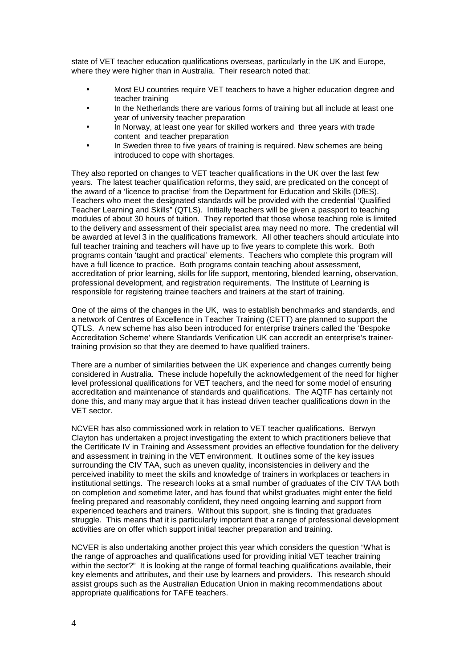state of VET teacher education qualifications overseas, particularly in the UK and Europe, where they were higher than in Australia. Their research noted that:

- Most EU countries require VET teachers to have a higher education degree and teacher training
- In the Netherlands there are various forms of training but all include at least one year of university teacher preparation
- In Norway, at least one year for skilled workers and three years with trade content and teacher preparation
- In Sweden three to five years of training is required. New schemes are being introduced to cope with shortages.

They also reported on changes to VET teacher qualifications in the UK over the last few years. The latest teacher qualification reforms, they said, are predicated on the concept of the award of a 'licence to practise' from the Department for Education and Skills (DfES). Teachers who meet the designated standards will be provided with the credential 'Qualified Teacher Learning and Skills" (QTLS). Initially teachers will be given a passport to teaching modules of about 30 hours of tuition. They reported that those whose teaching role is limited to the delivery and assessment of their specialist area may need no more. The credential will be awarded at level 3 in the qualifications framework. All other teachers should articulate into full teacher training and teachers will have up to five years to complete this work. Both programs contain 'taught and practical' elements. Teachers who complete this program will have a full licence to practice. Both programs contain teaching about assessment, accreditation of prior learning, skills for life support, mentoring, blended learning, observation, professional development, and registration requirements. The Institute of Learning is responsible for registering trainee teachers and trainers at the start of training.

One of the aims of the changes in the UK, was to establish benchmarks and standards, and a network of Centres of Excellence in Teacher Training (CETT) are planned to support the QTLS. A new scheme has also been introduced for enterprise trainers called the 'Bespoke Accreditation Scheme' where Standards Verification UK can accredit an enterprise's trainertraining provision so that they are deemed to have qualified trainers.

There are a number of similarities between the UK experience and changes currently being considered in Australia. These include hopefully the acknowledgement of the need for higher level professional qualifications for VET teachers, and the need for some model of ensuring accreditation and maintenance of standards and qualifications. The AQTF has certainly not done this, and many may argue that it has instead driven teacher qualifications down in the VET sector.

NCVER has also commissioned work in relation to VET teacher qualifications. Berwyn Clayton has undertaken a project investigating the extent to which practitioners believe that the Certificate IV in Training and Assessment provides an effective foundation for the delivery and assessment in training in the VET environment. It outlines some of the key issues surrounding the CIV TAA, such as uneven quality, inconsistencies in delivery and the perceived inability to meet the skills and knowledge of trainers in workplaces or teachers in institutional settings. The research looks at a small number of graduates of the CIV TAA both on completion and sometime later, and has found that whilst graduates might enter the field feeling prepared and reasonably confident, they need ongoing learning and support from experienced teachers and trainers. Without this support, she is finding that graduates struggle. This means that it is particularly important that a range of professional development activities are on offer which support initial teacher preparation and training.

NCVER is also undertaking another project this year which considers the question "What is the range of approaches and qualifications used for providing initial VET teacher training within the sector?" It is looking at the range of formal teaching qualifications available, their key elements and attributes, and their use by learners and providers. This research should assist groups such as the Australian Education Union in making recommendations about appropriate qualifications for TAFE teachers.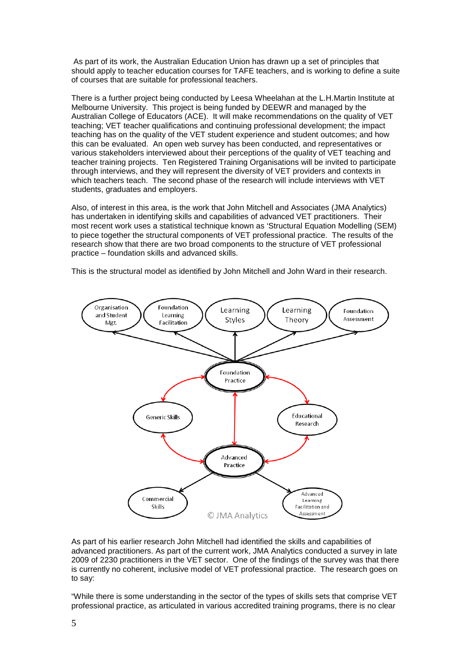As part of its work, the Australian Education Union has drawn up a set of principles that should apply to teacher education courses for TAFE teachers, and is working to define a suite of courses that are suitable for professional teachers.

There is a further project being conducted by Leesa Wheelahan at the L.H.Martin Institute at Melbourne University. This project is being funded by DEEWR and managed by the Australian College of Educators (ACE). It will make recommendations on the quality of VET teaching; VET teacher qualifications and continuing professional development; the impact teaching has on the quality of the VET student experience and student outcomes; and how this can be evaluated. An open web survey has been conducted, and representatives or various stakeholders interviewed about their perceptions of the quality of VET teaching and teacher training projects. Ten Registered Training Organisations will be invited to participate through interviews, and they will represent the diversity of VET providers and contexts in which teachers teach. The second phase of the research will include interviews with VET students, graduates and employers.

Also, of interest in this area, is the work that John Mitchell and Associates (JMA Analytics) has undertaken in identifying skills and capabilities of advanced VET practitioners. Their most recent work uses a statistical technique known as 'Structural Equation Modelling (SEM) to piece together the structural components of VET professional practice. The results of the research show that there are two broad components to the structure of VET professional practice – foundation skills and advanced skills.

This is the structural model as identified by John Mitchell and John Ward in their research.



As part of his earlier research John Mitchell had identified the skills and capabilities of advanced practitioners. As part of the current work, JMA Analytics conducted a survey in late 2009 of 2230 practitioners in the VET sector. One of the findings of the survey was that there is currently no coherent, inclusive model of VET professional practice. The research goes on to say:

"While there is some understanding in the sector of the types of skills sets that comprise VET professional practice, as articulated in various accredited training programs, there is no clear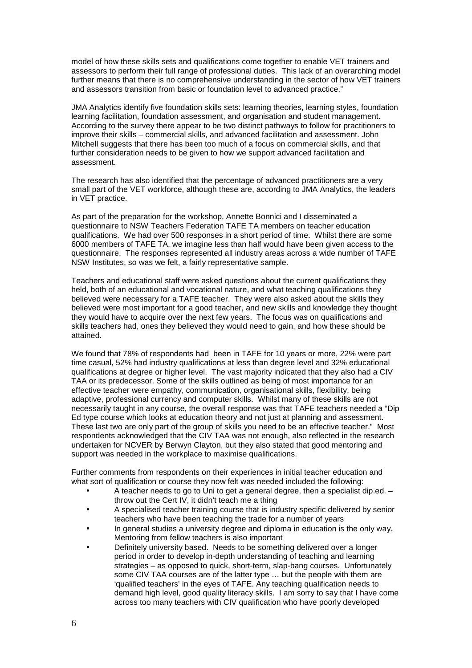model of how these skills sets and qualifications come together to enable VET trainers and assessors to perform their full range of professional duties. This lack of an overarching model further means that there is no comprehensive understanding in the sector of how VET trainers and assessors transition from basic or foundation level to advanced practice."

JMA Analytics identify five foundation skills sets: learning theories, learning styles, foundation learning facilitation, foundation assessment, and organisation and student management. According to the survey there appear to be two distinct pathways to follow for practitioners to improve their skills – commercial skills, and advanced facilitation and assessment. John Mitchell suggests that there has been too much of a focus on commercial skills, and that further consideration needs to be given to how we support advanced facilitation and assessment.

The research has also identified that the percentage of advanced practitioners are a very small part of the VET workforce, although these are, according to JMA Analytics, the leaders in VET practice.

As part of the preparation for the workshop, Annette Bonnici and I disseminated a questionnaire to NSW Teachers Federation TAFE TA members on teacher education qualifications. We had over 500 responses in a short period of time. Whilst there are some 6000 members of TAFE TA, we imagine less than half would have been given access to the questionnaire. The responses represented all industry areas across a wide number of TAFE NSW Institutes, so was we felt, a fairly representative sample.

Teachers and educational staff were asked questions about the current qualifications they held, both of an educational and vocational nature, and what teaching qualifications they believed were necessary for a TAFE teacher. They were also asked about the skills they believed were most important for a good teacher, and new skills and knowledge they thought they would have to acquire over the next few years. The focus was on qualifications and skills teachers had, ones they believed they would need to gain, and how these should be attained.

We found that 78% of respondents had been in TAFE for 10 years or more, 22% were part time casual, 52% had industry qualifications at less than degree level and 32% educational qualifications at degree or higher level. The vast majority indicated that they also had a CIV TAA or its predecessor. Some of the skills outlined as being of most importance for an effective teacher were empathy, communication, organisational skills, flexibility, being adaptive, professional currency and computer skills. Whilst many of these skills are not necessarily taught in any course, the overall response was that TAFE teachers needed a "Dip Ed type course which looks at education theory and not just at planning and assessment. These last two are only part of the group of skills you need to be an effective teacher." Most respondents acknowledged that the CIV TAA was not enough, also reflected in the research undertaken for NCVER by Berwyn Clayton, but they also stated that good mentoring and support was needed in the workplace to maximise qualifications.

Further comments from respondents on their experiences in initial teacher education and what sort of qualification or course they now felt was needed included the following:

- A teacher needs to go to Uni to get a general degree, then a specialist dip.ed. throw out the Cert IV, it didn't teach me a thing
- A specialised teacher training course that is industry specific delivered by senior teachers who have been teaching the trade for a number of years
- In general studies a university degree and diploma in education is the only way. Mentoring from fellow teachers is also important
- Definitely university based. Needs to be something delivered over a longer period in order to develop in-depth understanding of teaching and learning strategies – as opposed to quick, short-term, slap-bang courses. Unfortunately some CIV TAA courses are of the latter type … but the people with them are 'qualified teachers' in the eyes of TAFE. Any teaching qualification needs to demand high level, good quality literacy skills. I am sorry to say that I have come across too many teachers with CIV qualification who have poorly developed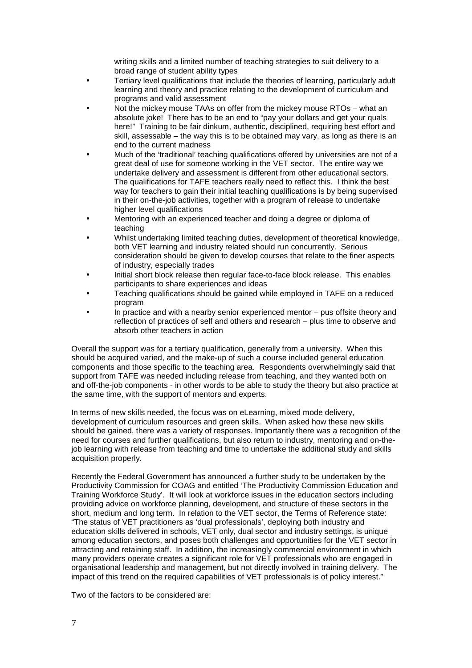writing skills and a limited number of teaching strategies to suit delivery to a broad range of student ability types

- Tertiary level qualifications that include the theories of learning, particularly adult learning and theory and practice relating to the development of curriculum and programs and valid assessment
- Not the mickey mouse TAAs on offer from the mickey mouse RTOs what an absolute joke! There has to be an end to "pay your dollars and get your quals here!" Training to be fair dinkum, authentic, disciplined, requiring best effort and skill, assessable – the way this is to be obtained may vary, as long as there is an end to the current madness
- Much of the 'traditional' teaching qualifications offered by universities are not of a great deal of use for someone working in the VET sector. The entire way we undertake delivery and assessment is different from other educational sectors. The qualifications for TAFE teachers really need to reflect this. I think the best way for teachers to gain their initial teaching qualifications is by being supervised in their on-the-job activities, together with a program of release to undertake higher level qualifications
- Mentoring with an experienced teacher and doing a degree or diploma of teaching
- Whilst undertaking limited teaching duties, development of theoretical knowledge, both VET learning and industry related should run concurrently. Serious consideration should be given to develop courses that relate to the finer aspects of industry, especially trades
- Initial short block release then regular face-to-face block release. This enables participants to share experiences and ideas
- Teaching qualifications should be gained while employed in TAFE on a reduced program
- In practice and with a nearby senior experienced mentor pus offsite theory and reflection of practices of self and others and research – plus time to observe and absorb other teachers in action

Overall the support was for a tertiary qualification, generally from a university. When this should be acquired varied, and the make-up of such a course included general education components and those specific to the teaching area. Respondents overwhelmingly said that support from TAFE was needed including release from teaching, and they wanted both on and off-the-job components - in other words to be able to study the theory but also practice at the same time, with the support of mentors and experts.

In terms of new skills needed, the focus was on eLearning, mixed mode delivery, development of curriculum resources and green skills. When asked how these new skills should be gained, there was a variety of responses. Importantly there was a recognition of the need for courses and further qualifications, but also return to industry, mentoring and on-thejob learning with release from teaching and time to undertake the additional study and skills acquisition properly.

Recently the Federal Government has announced a further study to be undertaken by the Productivity Commission for COAG and entitled 'The Productivity Commission Education and Training Workforce Study'. It will look at workforce issues in the education sectors including providing advice on workforce planning, development, and structure of these sectors in the short, medium and long term. In relation to the VET sector, the Terms of Reference state: "The status of VET practitioners as 'dual professionals', deploying both industry and education skills delivered in schools, VET only, dual sector and industry settings, is unique among education sectors, and poses both challenges and opportunities for the VET sector in attracting and retaining staff. In addition, the increasingly commercial environment in which many providers operate creates a significant role for VET professionals who are engaged in organisational leadership and management, but not directly involved in training delivery. The impact of this trend on the required capabilities of VET professionals is of policy interest."

Two of the factors to be considered are: